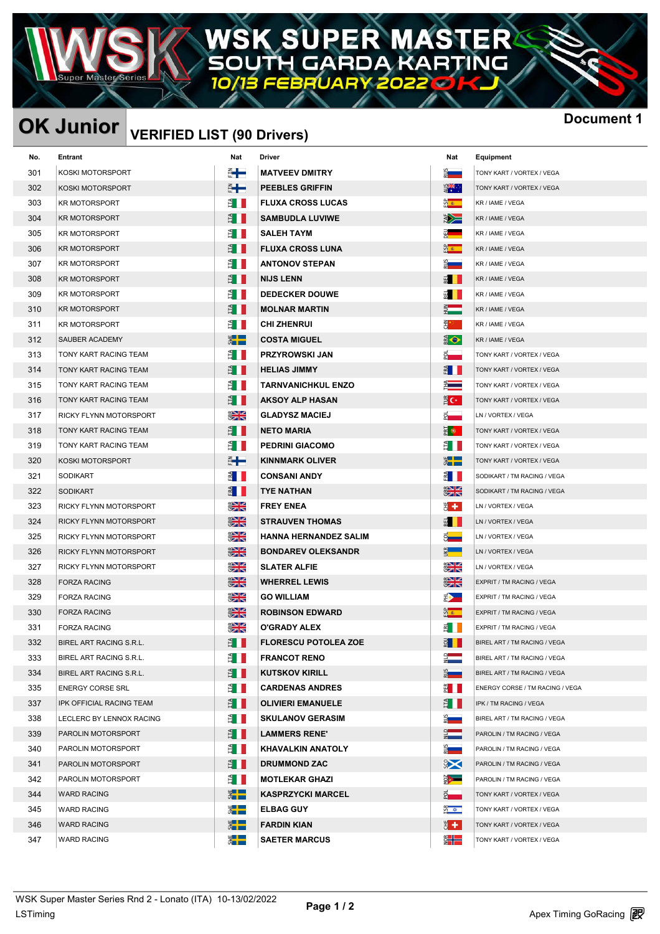### R) W Δ ь TING G DA

**OK Junior December 1** IST (90 Deciment 1

## **VERIFIED LIST (90 Drivers)**

|                               |                |                                                       |                                      | <b>Docum</b>                                          |
|-------------------------------|----------------|-------------------------------------------------------|--------------------------------------|-------------------------------------------------------|
| Entrant                       | Nat            | Driver                                                | Nat                                  | Equipment                                             |
| <b>KOSKI MOTORSPORT</b>       | ▓╋             | <b>MATVEEV DMITRY</b>                                 | $\frac{5}{2}$                        | TONY KART / VORTEX / VEGA                             |
| KOSKI MOTORSPORT              | ▓╋             | <b>PEEBLES GRIFFIN</b>                                | ¥.                                   | TONY KART / VORTEX / VEGA                             |
| <b>KR MOTORSPORT</b>          | ÈII            | <b>FLUXA CROSS LUCAS</b>                              | <u>გა</u>                            | KR / IAME / VEGA                                      |
| <b>KR MOTORSPORT</b>          | ÈII            | <b>SAMBUDLA LUVIWE</b>                                | 学                                    | KR / IAME / VEGA                                      |
| <b>KR MOTORSPORT</b>          | ÈШ             | <b>SALEH TAYM</b>                                     | $rac{1}{2}$                          | KR / IAME / VEGA                                      |
| <b>KR MOTORSPORT</b>          | ÈII            | <b>FLUXA CROSS LUNA</b>                               | <u>ထို ≉</u>                         | KR / IAME / VEGA                                      |
| <b>KR MOTORSPORT</b>          | å I            | <b>ANTONOV STEPAN</b>                                 | <u>ू</u>                             | KR / IAME / VEGA                                      |
| <b>KR MOTORSPORT</b>          | È I            | <b>NIJS LENN</b>                                      | ■ Ⅱ                                  | KR / IAME / VEGA                                      |
| <b>KR MOTORSPORT</b>          | È III          | <b>DEDECKER DOUWE</b>                                 |                                      | KR / IAME / VEGA                                      |
| <b>KR MOTORSPORT</b>          | ÈH             | <b>MOLNAR MARTIN</b>                                  | $\frac{3}{7}$                        | KR / IAME / VEGA                                      |
| <b>KR MOTORSPORT</b>          | Ê I            | <b>CHI ZHENRUI</b>                                    | €*™                                  | KR / IAME / VEGA                                      |
| SAUBER ACADEMY                | $\frac{1}{2}$  | <b>COSTA MIGUEL</b>                                   | $\Rightarrow$                        | KR / IAME / VEGA                                      |
| TONY KART RACING TEAM         | ÈН             | <b>PRZYROWSKI JAN</b>                                 | $\frac{1}{2}$                        | TONY KART / VORTEX / VEGA                             |
| TONY KART RACING TEAM         | É I            | <b>HELIAS JIMMY</b>                                   | $rac{d}{dt}$                         | TONY KART / VORTEX / VEGA                             |
| TONY KART RACING TEAM         | È III          | <b>TARNVANICHKUL ENZO</b>                             | È.                                   | TONY KART / VORTEX / VEGA                             |
| TONY KART RACING TEAM         | ÈH             | <b>AKSOY ALP HASAN</b>                                | $\epsilon$                           | TONY KART / VORTEX / VEGA                             |
| <b>RICKY FLYNN MOTORSPORT</b> | $\frac{1}{2}$  | <b>GLADYSZ MACIEJ</b>                                 |                                      | LN / VORTEX / VEGA                                    |
| TONY KART RACING TEAM         | ÈШ             | <b>NETO MARIA</b>                                     | <b>E</b> o                           | TONY KART / VORTEX / VEGA                             |
| TONY KART RACING TEAM         | ÈII            | <b>PEDRINI GIACOMO</b>                                | Ê II                                 | TONY KART / VORTEX / VEGA                             |
| KOSKI MOTORSPORT              | ▓╋▀            | <b>KINNMARK OLIVER</b>                                | $\frac{1}{2}$                        | TONY KART / VORTEX / VEGA                             |
| <b>SODIKART</b>               | $\frac{3}{2}$  | <b>CONSANI ANDY</b>                                   | $rac{1}{2}$                          | SODIKART / TM RACING / VEGA                           |
| <b>SODIKART</b>               | $\frac{d}{dt}$ | <b>TYE NATHAN</b>                                     | $\frac{1}{2}$                        | SODIKART / TM RACING / VEGA                           |
| RICKY FLYNN MOTORSPORT        |                | <b>FREY ENEA</b>                                      | 명 수 :                                | LN / VORTEX / VEGA                                    |
| RICKY FLYNN MOTORSPORT        |                | <b>STRAUVEN THOMAS</b>                                | ■ Ⅱ                                  | LN / VORTEX / VEGA                                    |
| RICKY FLYNN MOTORSPORT        | $rac{1}{2}$    | <b>HANNA HERNANDEZ SALIM</b>                          | $\bar{8}$ and $\bar{8}$              | LN / VORTEX / VEGA                                    |
| RICKY FLYNN MOTORSPORT        | $rac{1}{2}$    | <b>BONDAREV OLEKSANDR</b>                             | $rac{1}{\sqrt{2}}$                   | LN / VORTEX / VEGA                                    |
| RICKY FLYNN MOTORSPORT        | $rac{1}{2}$    | <b>SLATER ALFIE</b>                                   | $rac{1}{2}$                          | LN / VORTEX / VEGA                                    |
| <b>FORZA RACING</b>           |                | <b>WHERREL LEWIS</b>                                  |                                      | EXPRIT / TM RACING / VEGA                             |
| <b>FORZA RACING</b>           | $rac{1}{2}$    | <b>GO WILLIAM</b>                                     | 眇—                                   | EXPRIT / TM RACING / VEGA                             |
| <b>FORZA RACING</b>           | <u> SNZ</u>    | <b>ROBINSON EDWARD</b>                                |                                      | EXPRIT / TM RACING / VEGA                             |
| <b>FORZA RACING</b>           | $rac{1}{2}$    | O'GRADY ALEX                                          | $E$ $\blacksquare$                   | EXPRIT / TM RACING / VEGA                             |
| BIREL ART RACING S.R.L.       | ÈН             | <b>FLORESCU POTOLEA ZOE</b>                           | $\vec{z}$ II                         | BIREL ART / TM RACING / VEGA                          |
| BIREL ART RACING S.R.L.       | Ê I II         | <b>FRANCOT RENO</b>                                   | $\frac{1}{2}$                        | BIREL ART / TM RACING / VEGA                          |
| BIREL ART RACING S.R.L.       | ÈН             | <b>KUTSKOV KIRILL</b>                                 | $rac{5}{2}$                          | BIREL ART / TM RACING / VEGA                          |
| <b>ENERGY CORSE SRL</b>       | È II           | <b>CARDENAS ANDRES</b>                                | $rac{\alpha}{\alpha}$                | ENERGY CORSE / TM RACING / VEGA                       |
| IPK OFFICIAL RACING TEAM      | È II           | <b>OLIVIERI EMANUELE</b>                              | E I                                  | IPK / TM RACING / VEGA                                |
| LECLERC BY LENNOX RACING      | È II           | <b>SKULANOV GERASIM</b>                               | ă <b>de la provincia</b>             | BIREL ART / TM RACING / VEGA                          |
| PAROLIN MOTORSPORT            | È II           | <b>LAMMERS RENE'</b>                                  | $\frac{1}{2}$                        | PAROLIN / TM RACING / VEGA                            |
| PAROLIN MOTORSPORT            | Ê I II         | <b>KHAVALKIN ANATOLY</b>                              | $rac{1}{2}$                          | PAROLIN / TM RACING / VEGA                            |
| PAROLIN MOTORSPORT            | Ê II           | <b>DRUMMOND ZAC</b>                                   | $\approx$                            | PAROLIN / TM RACING / VEGA                            |
| PAROLIN MOTORSPORT            | È II           | <b>MOTLEKAR GHAZI</b>                                 | ें <mark>कर</mark>                   | PAROLIN / TM RACING / VEGA                            |
| <b>WARD RACING</b>            | $\frac{1}{2}$  | <b>KASPRZYCKI MARCEL</b>                              | $\frac{5}{2}$                        | TONY KART / VORTEX / VEGA                             |
| <b>WARD RACING</b>            | $\frac{1}{2}$  | <b>ELBAG GUY</b>                                      | 54                                   | TONY KART / VORTEX / VEGA                             |
| <b>WARD RACING</b>            | $\frac{1}{2}$  | <b>FARDIN KIAN</b>                                    | 5 + J                                | TONY KART / VORTEX / VEGA                             |
| <b>WARD RACING</b>            | $\frac{1}{2}$  | <b>SAETER MARCUS</b>                                  |                                      | TONY KART / VORTEX / VEGA                             |
|                               |                | $rac{2}{3}$<br>$\frac{1}{2}$<br>$\frac{1}{2}$<br>ozin | OK Junior VERIFIED LIST (90 Drivers) | $\frac{1}{2}$<br>$5 -$<br>$\frac{3}{2}$ $\frac{1}{2}$ |

| ू<br>न             | TONY KART / VORTEX / VEGA       |
|--------------------|---------------------------------|
| EXTERN             | TONY KART / VORTEX / VEGA       |
| ទី<br>ក            | KR / IAME / VEGA                |
| $\sum_{i=1}^n$     | KR / IAME / VEGA                |
| $\frac{1}{2}$      | KR / IAME / VEGA                |
| $\frac{\alpha}{2}$ | KR / IAME / VEGA                |
| ѯ——                | KR / IAME / VEGA                |
| B                  | KR / IAME / VEGA                |
| 핆                  | KR / IAME / VEGA                |
| 릙                  | KR / IAME / VEGA                |
| 로.<br>리            | KR / IAME / VEGA                |
| ⋭⊖                 | KR / IAME / VEGA                |
| 2                  | TONY KART / VORTEX / VEGA       |
| FA                 | TONY KART / VORTEX / VEGA       |
| ▙▆▅                | TONY KART / VORTEX / VEGA       |
| $\frac{3}{2}$ C+   | TONY KART / VORTEX / VEGA       |
| 힑                  | LN / VORTEX / VEGA              |
| နားများ            | TONY KART / VORTEX / VEGA       |
| Ě                  | TONY KART / VORTEX / VEGA       |
|                    | TONY KART / VORTEX / VEGA       |
| Ě                  | SODIKART / TM RACING / VEGA     |
| $rac{1}{2}$        | SODIKART / TM RACING / VEGA     |
| ₩,                 | LN / VORTEX / VEGA              |
| BEI                | LN / VORTEX / VEGA              |
| $8-$               | LN / VORTEX / VEGA              |
| 뙄                  | LN / VORTEX / VEGA              |
| $rac{68}{2}$       | LN / VORTEX / VEGA              |
| $rac{2}{3}$        | EXPRIT / TM RACING / VEGA       |
| $\Rightarrow$      | EXPRIT / TM RACING / VEGA       |
| $\frac{a}{2}$      | EXPRIT / TM RACING / VEGA       |
| ₫                  | EXPRIT / TM RACING / VEGA       |
| <u>a</u>           | BIREL ART / TM RACING / VEGA    |
| $\frac{1}{2}$      | BIREL ART / TM RACING / VEGA    |
| ξÉ,                | BIREL ART / TM RACING / VEGA    |
| 떪                  | ENERGY CORSE / TM RACING / VEGA |
|                    | IPK / TM RACING / VEGA          |
| ₹                  | BIREL ART / TM RACING / VEGA    |
| ₹                  | PAROLIN / TM RACING / VEGA      |
| ∄                  | PAROLIN / TM RACING / VEGA      |
| Ş,                 | PAROLIN / TM RACING / VEGA      |
| 93                 | PAROLIN / TM RACING / VEGA      |
| 힒                  | TONY KART / VORTEX / VEGA       |
| ă.<br>✿            | TONY KART / VORTEX / VEGA       |
| ₹+                 | TONY KART / VORTEX / VEGA       |
| 8 <del>-l---</del> | TONY KART / VORTEX / VEGA       |